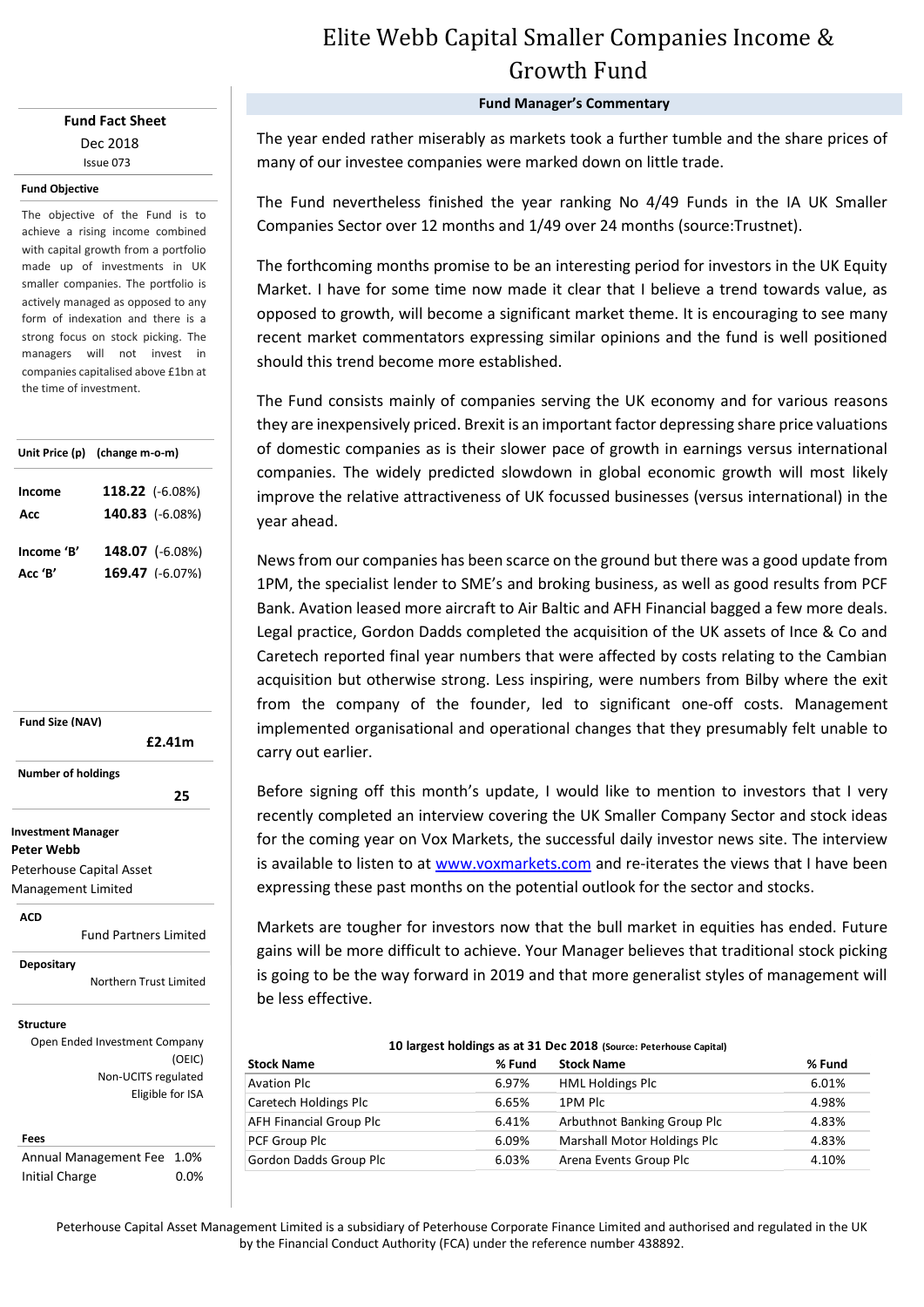## **Fund Fact Sheet** Dec 2018 Issue 073

#### **Fund Objective**

The objective of the Fund is to achieve a rising income combined with capital growth from a portfolio made up of investments in UK smaller companies. The portfolio is actively managed as opposed to any form of indexation and there is a strong focus on stock picking. The managers will not invest in companies capitalised above £1bn at the time of investment.

|            | Unit Price (p) (change m-o-m) |  |  |
|------------|-------------------------------|--|--|
| Income     | 118.22 (-6.08%)               |  |  |
| Acc        | 140.83 (-6.08%)               |  |  |
| Income 'B' | 148.07 (-6.08%)               |  |  |
| Acc 'B'    | 169.47 (-6.07%)               |  |  |

**Fund Size (NAV) Investment Manager £2.41m Number of holdings 25 25** 

**Peter Webb** Peterhouse Capital Asset

Management Limited

**ACD**

Fund Partners Limited

**Depositary**

Northern Trust Limited

### **Structure**

Open Ended Investment Company (OEIC) Non-UCITS regulated Eligible for ISA

### **Fees**

Annual Management Fee 1.0% Initial Charge 0.0%

# Elite Webb Capital Smaller Companies Income & Growth Fund

**Fund Manager's Commentary**

The year ended rather miserably as markets took a further tumble and the share prices of many of our investee companies were marked down on little trade.

The Fund nevertheless finished the year ranking No 4/49 Funds in the IA UK Smaller Companies Sector over 12 months and 1/49 over 24 months (source:Trustnet).

The forthcoming months promise to be an interesting period for investors in the UK Equity Market. I have for some time now made it clear that I believe a trend towards value, as opposed to growth, will become a significant market theme. It is encouraging to see many recent market commentators expressing similar opinions and the fund is well positioned should this trend become more established.

The Fund consists mainly of companies serving the UK economy and for various reasons they are inexpensively priced. Brexit is an important factor depressing share price valuations of domestic companies as is their slower pace of growth in earnings versus international companies. The widely predicted slowdown in global economic growth will most likely improve the relative attractiveness of UK focussed businesses (versus international) in the year ahead.

News from our companies has been scarce on the ground but there was a good update from 1PM, the specialist lender to SME's and broking business, as well as good results from PCF Bank. Avation leased more aircraft to Air Baltic and AFH Financial bagged a few more deals. Legal practice, Gordon Dadds completed the acquisition of the UK assets of Ince & Co and Caretech reported final year numbers that were affected by costs relating to the Cambian acquisition but otherwise strong. Less inspiring, were numbers from Bilby where the exit from the company of the founder, led to significant one-off costs. Management implemented organisational and operational changes that they presumably felt unable to carry out earlier.

Before signing off this month's update, I would like to mention to investors that I very recently completed an interview covering the UK Smaller Company Sector and stock ideas for the coming year on Vox Markets, the successful daily investor news site. The interview is available to listen to at [www.voxmarkets.com](http://www.voxmarkets.com/) and re-iterates the views that I have been expressing these past months on the potential outlook for the sector and stocks.

Markets are tougher for investors now that the bull market in equities has ended. Future gains will be more difficult to achieve. Your Manager believes that traditional stock picking is going to be the way forward in 2019 and that more generalist styles of management will be less effective.

| 10 largest holdings as at 31 Dec 2018 (Source: Peterhouse Capital) |                                    |        |  |  |  |  |  |
|--------------------------------------------------------------------|------------------------------------|--------|--|--|--|--|--|
| % Fund                                                             | <b>Stock Name</b>                  | % Fund |  |  |  |  |  |
| 6.97%                                                              | <b>HML Holdings Plc</b>            | 6.01%  |  |  |  |  |  |
| 6.65%                                                              | 1PM Plc                            | 4.98%  |  |  |  |  |  |
| 6.41%                                                              | Arbuthnot Banking Group Plc        | 4.83%  |  |  |  |  |  |
| 6.09%                                                              | <b>Marshall Motor Holdings Plc</b> | 4.83%  |  |  |  |  |  |
| 6.03%                                                              | Arena Events Group Plc             | 4.10%  |  |  |  |  |  |
|                                                                    |                                    |        |  |  |  |  |  |

Peterhouse Capital Asset Management Limited is a subsidiary of Peterhouse Corporate Finance Limited and authorised and regulated in the UK by the Financial Conduct Authority (FCA) under the reference number 438892.